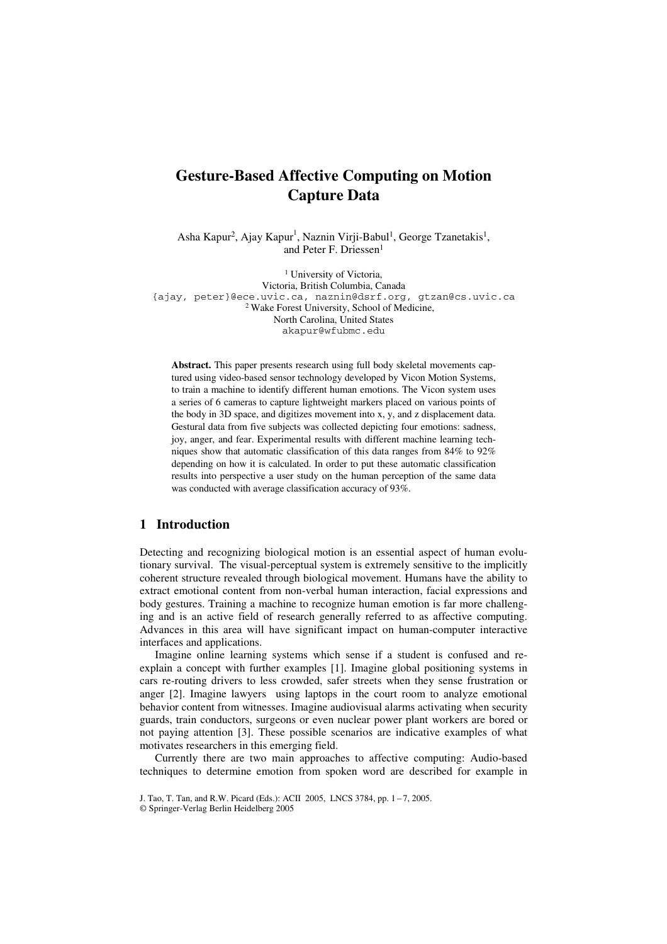# **Gesture-Based Affective Computing on Motion Capture Data**

Asha Kapur<sup>2</sup>, Ajay Kapur<sup>1</sup>, Naznin Virji-Babul<sup>1</sup>, George Tzanetakis<sup>1</sup>, and Peter F. Driessen<sup>1</sup>

<sup>1</sup> University of Victoria, Victoria, British Columbia, Canada {ajay, peter}@ece.uvic.ca, naznin@dsrf.org, gtzan@cs.uvic.ca <sup>2</sup> Wake Forest University, School of Medicine, North Carolina, United States akapur@wfubmc.edu

**Abstract.** This paper presents research using full body skeletal movements captured using video-based sensor technology developed by Vicon Motion Systems, to train a machine to identify different human emotions. The Vicon system uses a series of 6 cameras to capture lightweight markers placed on various points of the body in 3D space, and digitizes movement into x, y, and z displacement data. Gestural data from five subjects was collected depicting four emotions: sadness, joy, anger, and fear. Experimental results with different machine learning techniques show that automatic classification of this data ranges from 84% to 92% depending on how it is calculated. In order to put these automatic classification results into perspective a user study on the human perception of the same data was conducted with average classification accuracy of 93%.

# **1 Introduction**

Detecting and recognizing biological motion is an essential aspect of human evolutionary survival. The visual-perceptual system is extremely sensitive to the implicitly coherent structure revealed through biological movement. Humans have the ability to extract emotional content from non-verbal human interaction, facial expressions and body gestures. Training a machine to recognize human emotion is far more challenging and is an active field of research generally referred to as affective computing. Advances in this area will have significant impact on human-computer interactive interfaces and applications.

Imagine online learning systems which sense if a student is confused and reexplain a concept with further examples [1]. Imagine global positioning systems in cars re-routing drivers to less crowded, safer streets when they sense frustration or anger [2]. Imagine lawyers using laptops in the court room to analyze emotional behavior content from witnesses. Imagine audiovisual alarms activating when security guards, train conductors, surgeons or even nuclear power plant workers are bored or not paying attention [3]. These possible scenarios are indicative examples of what motivates researchers in this emerging field.

Currently there are two main approaches to affective computing: Audio-based techniques to determine emotion from spoken word are described for example in

J. Tao, T. Tan, and R.W. Picard (Eds.): ACII 2005, LNCS 3784, pp. 1 – 7, 2005.

<sup>©</sup> Springer-Verlag Berlin Heidelberg 2005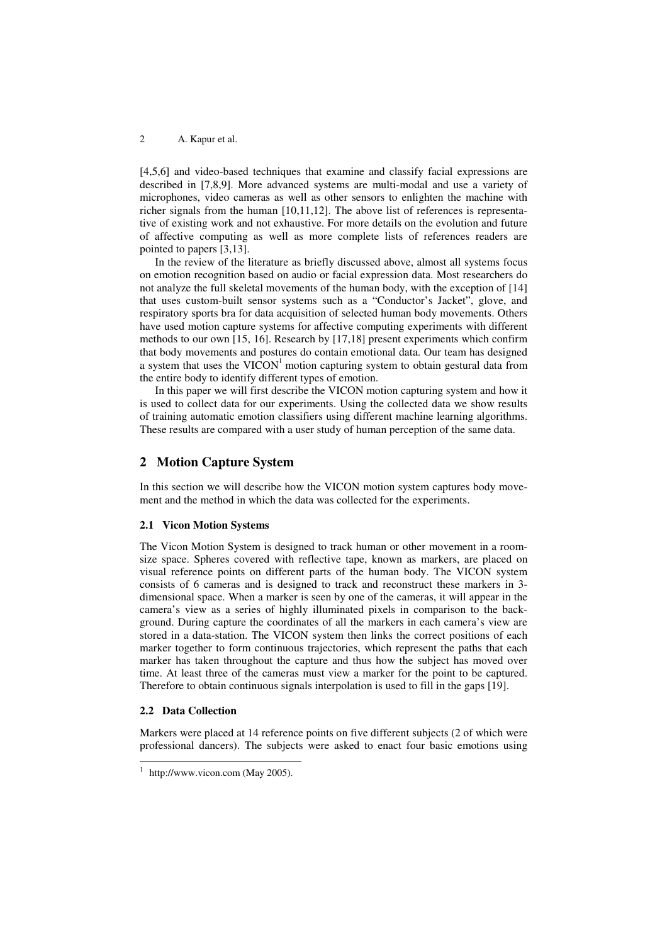#### 2 A. Kapur et al.

[4,5,6] and video-based techniques that examine and classify facial expressions are described in [7,8,9]. More advanced systems are multi-modal and use a variety of microphones, video cameras as well as other sensors to enlighten the machine with richer signals from the human [10,11,12]. The above list of references is representative of existing work and not exhaustive. For more details on the evolution and future of affective computing as well as more complete lists of references readers are pointed to papers [3,13].

In the review of the literature as briefly discussed above, almost all systems focus on emotion recognition based on audio or facial expression data. Most researchers do not analyze the full skeletal movements of the human body, with the exception of [14] that uses custom-built sensor systems such as a "Conductor's Jacket", glove, and respiratory sports bra for data acquisition of selected human body movements. Others have used motion capture systems for affective computing experiments with different methods to our own [15, 16]. Research by [17,18] present experiments which confirm that body movements and postures do contain emotional data. Our team has designed a system that uses the VICON<sup>1</sup> motion capturing system to obtain gestural data from the entire body to identify different types of emotion.

In this paper we will first describe the VICON motion capturing system and how it is used to collect data for our experiments. Using the collected data we show results of training automatic emotion classifiers using different machine learning algorithms. These results are compared with a user study of human perception of the same data.

## **2 Motion Capture System**

In this section we will describe how the VICON motion system captures body movement and the method in which the data was collected for the experiments.

#### **2.1 Vicon Motion Systems**

The Vicon Motion System is designed to track human or other movement in a roomsize space. Spheres covered with reflective tape, known as markers, are placed on visual reference points on different parts of the human body. The VICON system consists of 6 cameras and is designed to track and reconstruct these markers in 3 dimensional space. When a marker is seen by one of the cameras, it will appear in the camera's view as a series of highly illuminated pixels in comparison to the background. During capture the coordinates of all the markers in each camera's view are stored in a data-station. The VICON system then links the correct positions of each marker together to form continuous trajectories, which represent the paths that each marker has taken throughout the capture and thus how the subject has moved over time. At least three of the cameras must view a marker for the point to be captured. Therefore to obtain continuous signals interpolation is used to fill in the gaps [19].

#### **2.2 Data Collection**

Markers were placed at 14 reference points on five different subjects (2 of which were professional dancers). The subjects were asked to enact four basic emotions using

<sup>&</sup>lt;sup>1</sup> http://www.vicon.com (May 2005).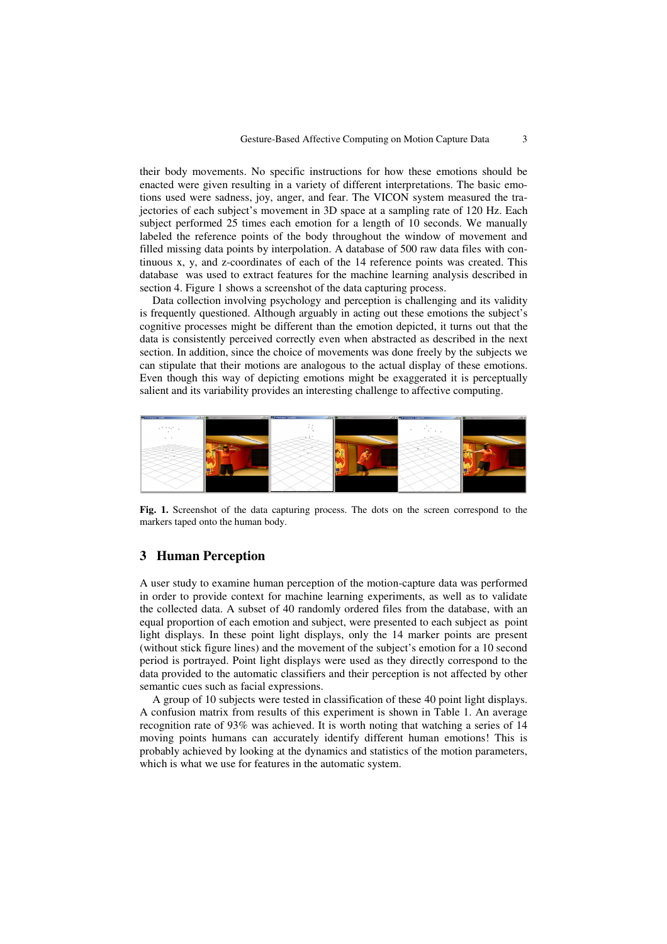their body movements. No specific instructions for how these emotions should be enacted were given resulting in a variety of different interpretations. The basic emotions used were sadness, joy, anger, and fear. The VICON system measured the trajectories of each subject's movement in 3D space at a sampling rate of 120 Hz. Each subject performed 25 times each emotion for a length of 10 seconds. We manually labeled the reference points of the body throughout the window of movement and filled missing data points by interpolation. A database of 500 raw data files with continuous x, y, and z-coordinates of each of the 14 reference points was created. This database was used to extract features for the machine learning analysis described in section 4. Figure 1 shows a screenshot of the data capturing process.

Data collection involving psychology and perception is challenging and its validity is frequently questioned. Although arguably in acting out these emotions the subject's cognitive processes might be different than the emotion depicted, it turns out that the data is consistently perceived correctly even when abstracted as described in the next section. In addition, since the choice of movements was done freely by the subjects we can stipulate that their motions are analogous to the actual display of these emotions. Even though this way of depicting emotions might be exaggerated it is perceptually salient and its variability provides an interesting challenge to affective computing.



**Fig. 1.** Screenshot of the data capturing process. The dots on the screen correspond to the markers taped onto the human body.

## **3 Human Perception**

A user study to examine human perception of the motion-capture data was performed in order to provide context for machine learning experiments, as well as to validate the collected data. A subset of 40 randomly ordered files from the database, with an equal proportion of each emotion and subject, were presented to each subject as point light displays. In these point light displays, only the 14 marker points are present (without stick figure lines) and the movement of the subject's emotion for a 10 second period is portrayed. Point light displays were used as they directly correspond to the data provided to the automatic classifiers and their perception is not affected by other semantic cues such as facial expressions.

A group of 10 subjects were tested in classification of these 40 point light displays. A confusion matrix from results of this experiment is shown in Table 1. An average recognition rate of 93% was achieved. It is worth noting that watching a series of 14 moving points humans can accurately identify different human emotions! This is probably achieved by looking at the dynamics and statistics of the motion parameters, which is what we use for features in the automatic system.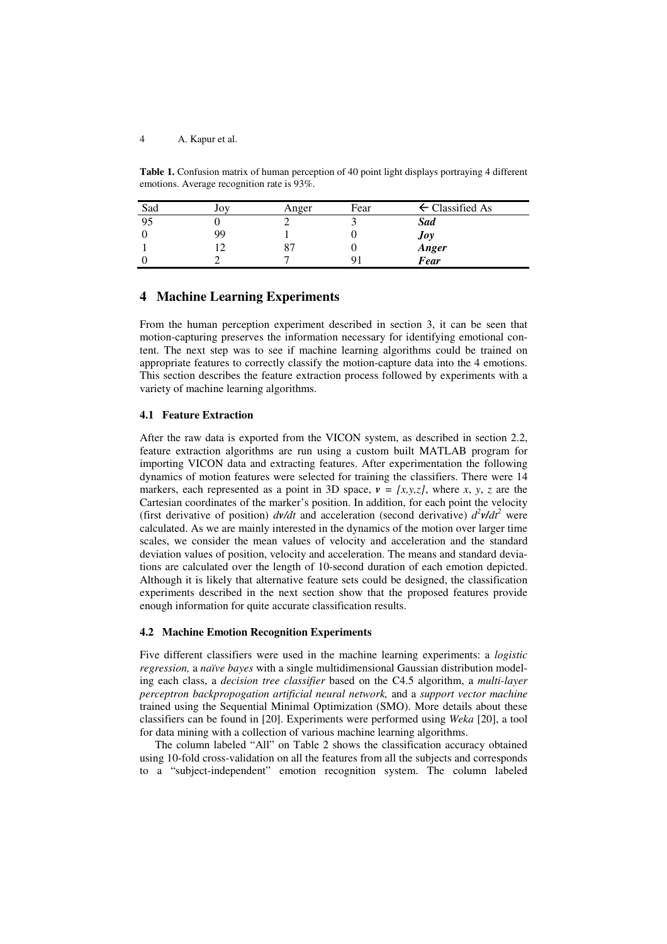#### 4 A. Kapur et al.

**Table 1.** Confusion matrix of human perception of 40 point light displays portraying 4 different emotions. Average recognition rate is 93%.

| Sad | Joy | Anger | Fear | ← Classified As      |
|-----|-----|-------|------|----------------------|
| 95  |     |       |      | <b>Sad</b>           |
|     | 99  |       |      |                      |
|     |     |       |      | Joy<br>Anger<br>Fear |
|     |     |       |      |                      |

## **4 Machine Learning Experiments**

From the human perception experiment described in section 3, it can be seen that motion-capturing preserves the information necessary for identifying emotional content. The next step was to see if machine learning algorithms could be trained on appropriate features to correctly classify the motion-capture data into the 4 emotions. This section describes the feature extraction process followed by experiments with a variety of machine learning algorithms.

#### **4.1 Feature Extraction**

After the raw data is exported from the VICON system, as described in section 2.2, feature extraction algorithms are run using a custom built MATLAB program for importing VICON data and extracting features. After experimentation the following dynamics of motion features were selected for training the classifiers. There were 14 markers, each represented as a point in 3D space,  $v = [x, y, z]$ , where x, y, z are the Cartesian coordinates of the marker's position. In addition, for each point the velocity (first derivative of position)  $dv/dt$  and acceleration (second derivative)  $d^2v/dt^2$  were calculated. As we are mainly interested in the dynamics of the motion over larger time scales, we consider the mean values of velocity and acceleration and the standard deviation values of position, velocity and acceleration. The means and standard deviations are calculated over the length of 10-second duration of each emotion depicted. Although it is likely that alternative feature sets could be designed, the classification experiments described in the next section show that the proposed features provide enough information for quite accurate classification results.

## **4.2 Machine Emotion Recognition Experiments**

Five different classifiers were used in the machine learning experiments: a *logistic regression,* a *naïve bayes* with a single multidimensional Gaussian distribution modeling each class, a *decision tree classifier* based on the C4.5 algorithm, a *multi-layer perceptron backpropogation artificial neural network,* and a *support vector machine* trained using the Sequential Minimal Optimization (SMO). More details about these classifiers can be found in [20]. Experiments were performed using *Weka* [20], a tool for data mining with a collection of various machine learning algorithms.

The column labeled "All" on Table 2 shows the classification accuracy obtained using 10-fold cross-validation on all the features from all the subjects and corresponds to a "subject-independent" emotion recognition system. The column labeled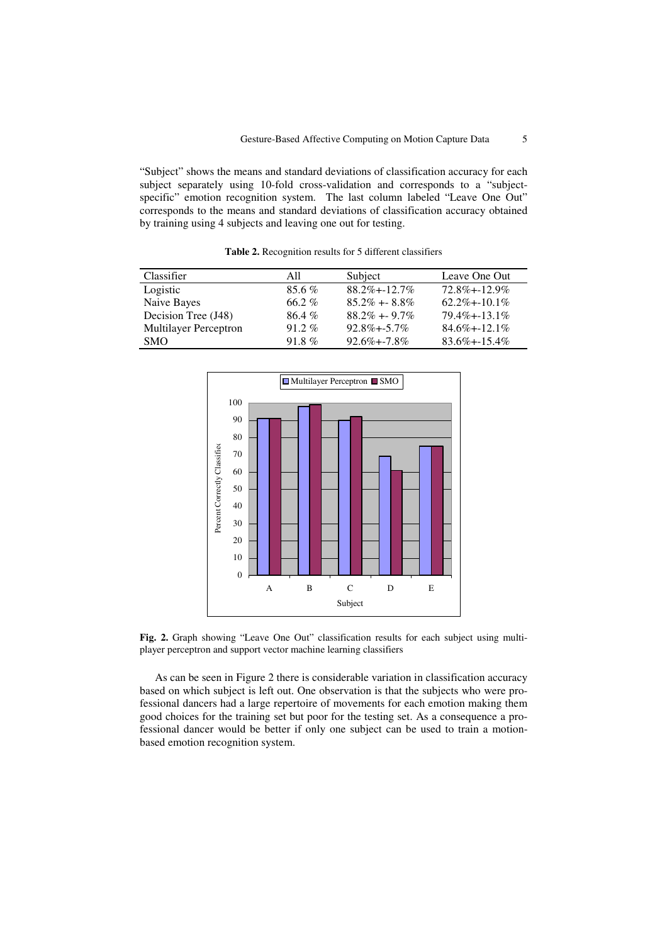"Subject" shows the means and standard deviations of classification accuracy for each subject separately using 10-fold cross-validation and corresponds to a "subjectspecific" emotion recognition system. The last column labeled "Leave One Out" corresponds to the means and standard deviations of classification accuracy obtained by training using 4 subjects and leaving one out for testing.

**Table 2.** Recognition results for 5 different classifiers

| Classifier                   | All      | Subject            | Leave One Out      |
|------------------------------|----------|--------------------|--------------------|
| Logistic                     | $85.6\%$ | $88.2\% + -12.7\%$ | $72.8\% + 12.9\%$  |
| Naive Bayes                  | 66.2%    | $85.2\% + 8.8\%$   | $62.2\% + 10.1\%$  |
| Decision Tree (J48)          | $86.4\%$ | $88.2\% + 9.7\%$   | $79.4\% + -13.1\%$ |
| <b>Multilayer Perceptron</b> | $91.2\%$ | $92.8\% + -5.7\%$  | $84.6\% + -12.1\%$ |
| <b>SMO</b>                   | 91.8 $%$ | $92.6\% + -7.8\%$  | $83.6\% + -15.4\%$ |



**Fig. 2.** Graph showing "Leave One Out" classification results for each subject using multiplayer perceptron and support vector machine learning classifiers

As can be seen in Figure 2 there is considerable variation in classification accuracy based on which subject is left out. One observation is that the subjects who were professional dancers had a large repertoire of movements for each emotion making them good choices for the training set but poor for the testing set. As a consequence a professional dancer would be better if only one subject can be used to train a motionbased emotion recognition system.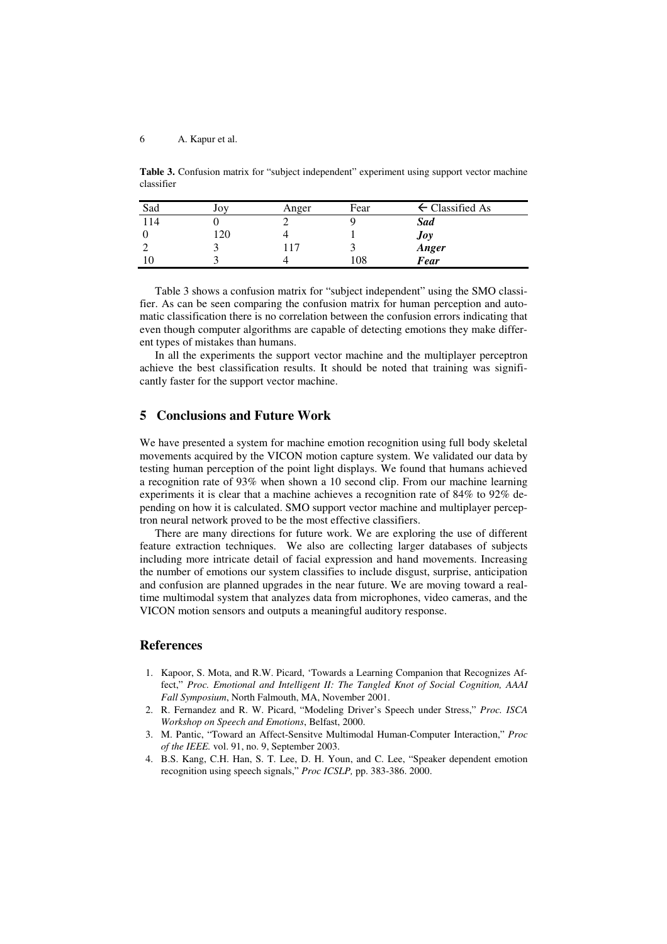#### 6 A. Kapur et al.

**Table 3.** Confusion matrix for "subject independent" experiment using support vector machine classifier

| Sad      | Joy  | Anger | Fear | $\leftarrow$ Classified As |
|----------|------|-------|------|----------------------------|
| 114      |      |       |      | <b>Sad</b>                 |
|          | l 20 |       |      | Joy                        |
| ∸        |      | 117   |      | Anger                      |
| $\sim 0$ |      |       | 108  | <b>Fear</b>                |

Table 3 shows a confusion matrix for "subject independent" using the SMO classifier. As can be seen comparing the confusion matrix for human perception and automatic classification there is no correlation between the confusion errors indicating that even though computer algorithms are capable of detecting emotions they make different types of mistakes than humans.

In all the experiments the support vector machine and the multiplayer perceptron achieve the best classification results. It should be noted that training was significantly faster for the support vector machine.

# **5 Conclusions and Future Work**

We have presented a system for machine emotion recognition using full body skeletal movements acquired by the VICON motion capture system. We validated our data by testing human perception of the point light displays. We found that humans achieved a recognition rate of 93% when shown a 10 second clip. From our machine learning experiments it is clear that a machine achieves a recognition rate of 84% to 92% depending on how it is calculated. SMO support vector machine and multiplayer perceptron neural network proved to be the most effective classifiers.

There are many directions for future work. We are exploring the use of different feature extraction techniques. We also are collecting larger databases of subjects including more intricate detail of facial expression and hand movements. Increasing the number of emotions our system classifies to include disgust, surprise, anticipation and confusion are planned upgrades in the near future. We are moving toward a realtime multimodal system that analyzes data from microphones, video cameras, and the VICON motion sensors and outputs a meaningful auditory response.

# **References**

- 1. Kapoor, S. Mota, and R.W. Picard, 'Towards a Learning Companion that Recognizes Affect," *Proc. Emotional and Intelligent II: The Tangled Knot of Social Cognition, AAAI Fall Symposium*, North Falmouth, MA, November 2001.
- 2. R. Fernandez and R. W. Picard, "Modeling Driver's Speech under Stress," *Proc. ISCA Workshop on Speech and Emotions*, Belfast, 2000.
- 3. M. Pantic, "Toward an Affect-Sensitve Multimodal Human-Computer Interaction," *Proc of the IEEE.* vol. 91, no. 9, September 2003.
- 4. B.S. Kang, C.H. Han, S. T. Lee, D. H. Youn, and C. Lee, "Speaker dependent emotion recognition using speech signals," *Proc ICSLP,* pp. 383-386. 2000.